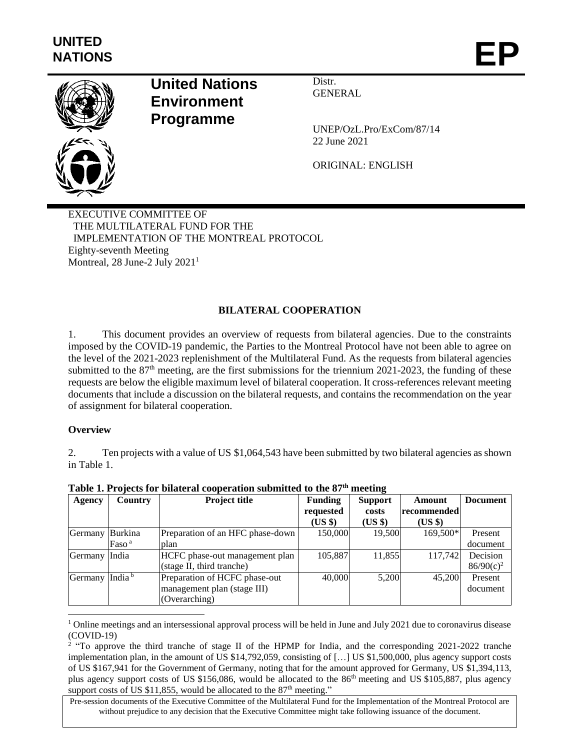

# **United Nations Environment Programme**

Distr. GENERAL

UNEP/OzL.Pro/ExCom/87/14 22 June 2021

ORIGINAL: ENGLISH

EXECUTIVE COMMITTEE OF THE MULTILATERAL FUND FOR THE IMPLEMENTATION OF THE MONTREAL PROTOCOL Eighty-seventh Meeting Montreal, 28 June-2 July 2021<sup>1</sup>

# **BILATERAL COOPERATION**

1. This document provides an overview of requests from bilateral agencies. Due to the constraints imposed by the COVID-19 pandemic, the Parties to the Montreal Protocol have not been able to agree on the level of the 2021-2023 replenishment of the Multilateral Fund. As the requests from bilateral agencies submitted to the  $87<sup>th</sup>$  meeting, are the first submissions for the triennium 2021-2023, the funding of these requests are below the eligible maximum level of bilateral cooperation. It cross-references relevant meeting documents that include a discussion on the bilateral requests, and contains the recommendation on the year of assignment for bilateral cooperation.

### **Overview**

 $\overline{a}$ 

2. Ten projects with a value of US \$1,064,543 have been submitted by two bilateral agencies as shown in Table 1.

| Agency  | <b>Country</b>     | <b>Project title</b>             | <b>Funding</b> | <b>Support</b> | Amount      | <b>Document</b> |
|---------|--------------------|----------------------------------|----------------|----------------|-------------|-----------------|
|         |                    |                                  | requested      | costs          | recommended |                 |
|         |                    |                                  | (US \$)        | $(US \$        | $(US \$     |                 |
| Germany | Burkina            | Preparation of an HFC phase-down | 150,000        | 19,500         | 169,500*    | Present         |
|         | Faso <sup>a</sup>  | plan                             |                |                |             | document        |
| Germany | India              | HCFC phase-out management plan   | 105,887        | 11,855         | 117,742     | Decision        |
|         |                    | (stage II, third tranche)        |                |                |             | $86/90(c)^2$    |
| Germany | India <sup>b</sup> | Preparation of HCFC phase-out    | 40,000         | 5,200          | 45,200      | Present         |
|         |                    | management plan (stage III)      |                |                |             | document        |
|         |                    | (Overarching)                    |                |                |             |                 |

**Table 1. Projects for bilateral cooperation submitted to the 87th meeting**

 $1$  Online meetings and an intersessional approval process will be held in June and July 2021 due to coronavirus disease (COVID-19)

<sup>&</sup>lt;sup>2</sup> "To approve the third tranche of stage II of the HPMP for India, and the corresponding 2021-2022 tranche implementation plan, in the amount of US \$14,792,059, consisting of […] US \$1,500,000, plus agency support costs of US \$167,941 for the Government of Germany, noting that for the amount approved for Germany, US \$1,394,113, plus agency support costs of US \$156,086, would be allocated to the 86th meeting and US \$105,887, plus agency support costs of US \$11,855, would be allocated to the  $87<sup>th</sup>$  meeting."

Pre-session documents of the Executive Committee of the Multilateral Fund for the Implementation of the Montreal Protocol are without prejudice to any decision that the Executive Committee might take following issuance of the document.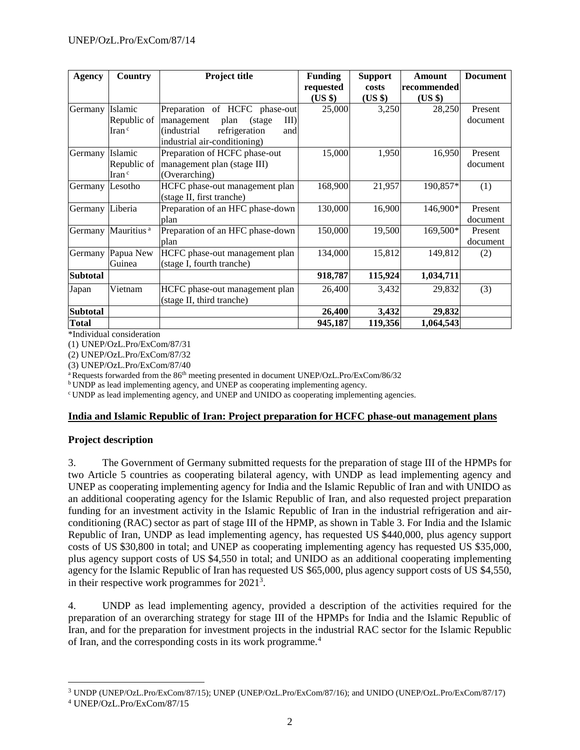| Agency          | Country                            | Project title                        | <b>Funding</b> | <b>Support</b> | Amount      | <b>Document</b> |
|-----------------|------------------------------------|--------------------------------------|----------------|----------------|-------------|-----------------|
|                 |                                    |                                      | requested      | costs          | recommended |                 |
|                 |                                    |                                      | (US \$)        | (US \$)        | $(US \$     |                 |
| Germany         | Islamic                            | Preparation of HCFC phase-out        | 25,000         | 3,250          | 28,250      | Present         |
|                 | Republic of                        | III<br>management<br>plan<br>(stage) |                |                |             | document        |
|                 | Iran <sup>c</sup>                  | refrigeration<br>(industrial<br>and  |                |                |             |                 |
|                 |                                    | industrial air-conditioning)         |                |                |             |                 |
| Germany         | Islamic                            | Preparation of HCFC phase-out        | 15,000         | 1,950          | 16,950      | Present         |
|                 | Republic of                        | management plan (stage III)          |                |                |             | document        |
|                 | $\operatorname{Iran}$ <sup>c</sup> | (Overarching)                        |                |                |             |                 |
| Germany         | Lesotho                            | HCFC phase-out management plan       | 168,900        | 21,957         | 190,857*    | (1)             |
|                 |                                    | (stage II, first tranche)            |                |                |             |                 |
| Germany         | Liberia                            | Preparation of an HFC phase-down     | 130,000        | 16,900         | 146,900*    | Present         |
|                 |                                    | plan                                 |                |                |             | document        |
|                 | Germany Mauritius <sup>a</sup>     | Preparation of an HFC phase-down     | 150,000        | 19,500         | 169,500*    | Present         |
|                 |                                    | plan                                 |                |                |             | document        |
| Germany         | Papua New                          | HCFC phase-out management plan       | 134,000        | 15,812         | 149,812     | (2)             |
|                 | Guinea                             | (stage I, fourth tranche)            |                |                |             |                 |
| <b>Subtotal</b> |                                    |                                      | 918,787        | 115,924        | 1,034,711   |                 |
| Japan           | Vietnam                            | HCFC phase-out management plan       | 26,400         | 3,432          | 29,832      | (3)             |
|                 |                                    | (stage II, third tranche)            |                |                |             |                 |
| <b>Subtotal</b> |                                    |                                      | 26,400         | 3,432          | 29,832      |                 |
| <b>Total</b>    |                                    |                                      | 945,187        | 119,356        | 1,064,543   |                 |

\*Individual consideration

(1) UNEP/OzL.Pro/ExCom/87/31

(2) UNEP/OzL.Pro/ExCom/87/32

(3) UNEP/OzL.Pro/ExCom/87/40

<sup>a</sup> Requests forwarded from the 86<sup>th</sup> meeting presented in document UNEP/OzL.Pro/ExCom/86/32

b UNDP as lead implementing agency, and UNEP as cooperating implementing agency.

<sup>c</sup>UNDP as lead implementing agency, and UNEP and UNIDO as cooperating implementing agencies.

### **India and Islamic Republic of Iran: Project preparation for HCFC phase-out management plans**

### **Project description**

3. The Government of Germany submitted requests for the preparation of stage III of the HPMPs for two Article 5 countries as cooperating bilateral agency, with UNDP as lead implementing agency and UNEP as cooperating implementing agency for India and the Islamic Republic of Iran and with UNIDO as an additional cooperating agency for the Islamic Republic of Iran, and also requested project preparation funding for an investment activity in the Islamic Republic of Iran in the industrial refrigeration and airconditioning (RAC) sector as part of stage III of the HPMP, as shown in Table 3. For India and the Islamic Republic of Iran, UNDP as lead implementing agency, has requested US \$440,000, plus agency support costs of US \$30,800 in total; and UNEP as cooperating implementing agency has requested US \$35,000, plus agency support costs of US \$4,550 in total; and UNIDO as an additional cooperating implementing agency for the Islamic Republic of Iran has requested US \$65,000, plus agency support costs of US \$4,550, in their respective work programmes for 2021<sup>3</sup>.

4. UNDP as lead implementing agency, provided a description of the activities required for the preparation of an overarching strategy for stage III of the HPMPs for India and the Islamic Republic of Iran, and for the preparation for investment projects in the industrial RAC sector for the Islamic Republic of Iran, and the corresponding costs in its work programme.<sup>4</sup>

 $\overline{\phantom{a}}$ 

<sup>3</sup> UNDP (UNEP/OzL.Pro/ExCom/87/15); UNEP (UNEP/OzL.Pro/ExCom/87/16); and UNIDO (UNEP/OzL.Pro/ExCom/87/17)

<sup>4</sup> UNEP/OzL.Pro/ExCom/87/15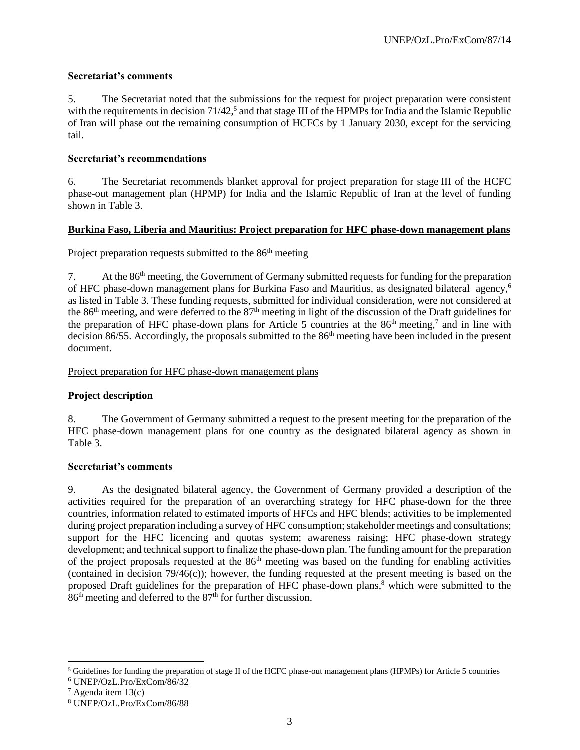## **Secretariat's comments**

5. The Secretariat noted that the submissions for the request for project preparation were consistent with the requirements in decision  $71/42$ ,<sup>5</sup> and that stage III of the HPMPs for India and the Islamic Republic of Iran will phase out the remaining consumption of HCFCs by 1 January 2030, except for the servicing tail.

## **Secretariat's recommendations**

6. The Secretariat recommends blanket approval for project preparation for stage III of the HCFC phase-out management plan (HPMP) for India and the Islamic Republic of Iran at the level of funding shown in Table 3.

## **Burkina Faso, Liberia and Mauritius: Project preparation for HFC phase-down management plans**

## Project preparation requests submitted to the 86<sup>th</sup> meeting

7. At the 86th meeting, the Government of Germany submitted requests for funding for the preparation of HFC phase-down management plans for Burkina Faso and Mauritius, as designated bilateral agency,<sup>6</sup> as listed in Table 3. These funding requests, submitted for individual consideration, were not considered at the  $86<sup>th</sup>$  meeting, and were deferred to the  $87<sup>th</sup>$  meeting in light of the discussion of the Draft guidelines for the preparation of HFC phase-down plans for Article 5 countries at the  $86<sup>th</sup>$  meeting,<sup>7</sup> and in line with decision 86/55. Accordingly, the proposals submitted to the 86<sup>th</sup> meeting have been included in the present document.

### Project preparation for HFC phase-down management plans

# **Project description**

8. The Government of Germany submitted a request to the present meeting for the preparation of the HFC phase-down management plans for one country as the designated bilateral agency as shown in Table 3.

### **Secretariat's comments**

9. As the designated bilateral agency, the Government of Germany provided a description of the activities required for the preparation of an overarching strategy for HFC phase-down for the three countries, information related to estimated imports of HFCs and HFC blends; activities to be implemented during project preparation including a survey of HFC consumption; stakeholder meetings and consultations; support for the HFC licencing and quotas system; awareness raising; HFC phase-down strategy development; and technical support to finalize the phase-down plan. The funding amount for the preparation of the project proposals requested at the 86<sup>th</sup> meeting was based on the funding for enabling activities (contained in decision 79/46(c)); however, the funding requested at the present meeting is based on the proposed Draft guidelines for the preparation of HFC phase-down plans,<sup>8</sup> which were submitted to the 86<sup>th</sup> meeting and deferred to the 87<sup>th</sup> for further discussion.

 $\overline{\phantom{a}}$ 

<sup>5</sup> Guidelines for funding the preparation of stage II of the HCFC phase-out management plans (HPMPs) for Article 5 countries

<sup>6</sup> UNEP/OzL.Pro/ExCom/86/32

 $7$  Agenda item 13(c)

<sup>8</sup> UNEP/OzL.Pro/ExCom/86/88